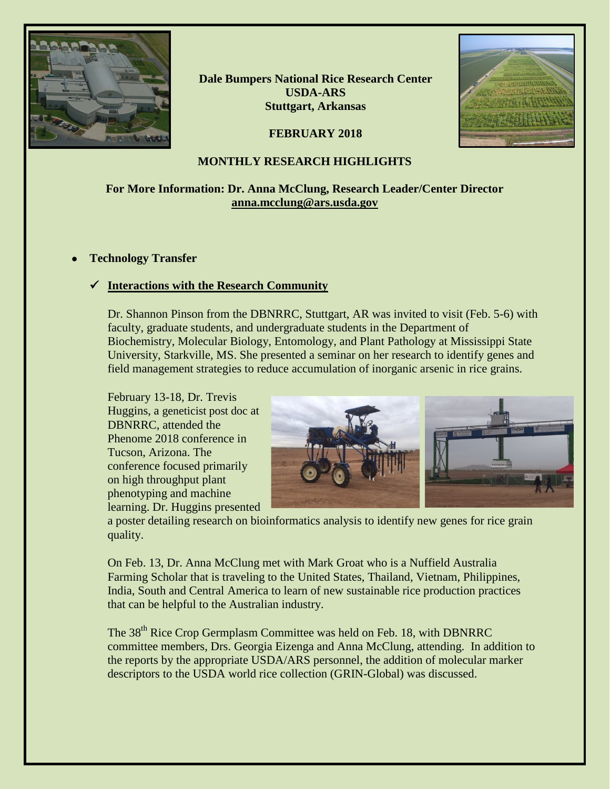

**Dale Bumpers National Rice Research Center USDA-ARS Stuttgart, Arkansas**

### **FEBRUARY 2018**



#### **MONTHLY RESEARCH HIGHLIGHTS**

### **For More Information: Dr. Anna McClung, Research Leader/Center Director [anna.mcclung@ars.usda.gov](mailto:anna.mcclung@ars.usda.gov)**

#### • **Technology Transfer**

# **Interactions with the Research Community**

Dr. Shannon Pinson from the DBNRRC, Stuttgart, AR was invited to visit (Feb. 5-6) with faculty, graduate students, and undergraduate students in the Department of Biochemistry, Molecular Biology, Entomology, and Plant Pathology at Mississippi State University, Starkville, MS. She presented a seminar on her research to identify genes and field management strategies to reduce accumulation of inorganic arsenic in rice grains.

February 13-18, Dr. Trevis Huggins, a geneticist post doc at DBNRRC, attended the Phenome 2018 conference in Tucson, Arizona. The conference focused primarily on high throughput plant phenotyping and machine learning. Dr. Huggins presented



a poster detailing research on bioinformatics analysis to identify new genes for rice grain quality.

On Feb. 13, Dr. Anna McClung met with Mark Groat who is a Nuffield Australia Farming Scholar that is traveling to the United States, Thailand, Vietnam, Philippines, India, South and Central America to learn of new sustainable rice production practices that can be helpful to the Australian industry.

The 38<sup>th</sup> Rice Crop Germplasm Committee was held on Feb. 18, with DBNRRC committee members, Drs. Georgia Eizenga and Anna McClung, attending. In addition to the reports by the appropriate USDA/ARS personnel, the addition of molecular marker descriptors to the USDA world rice collection (GRIN-Global) was discussed.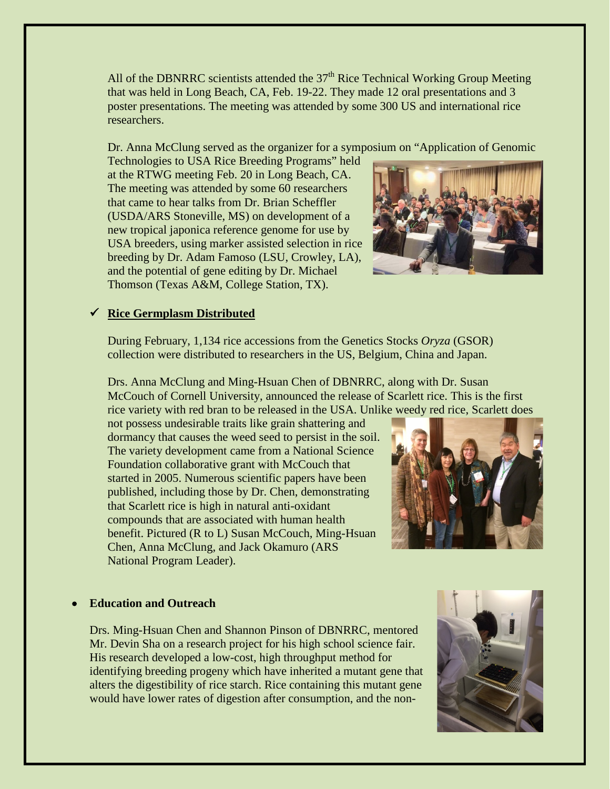All of the DBNRRC scientists attended the  $37<sup>th</sup>$  Rice Technical Working Group Meeting that was held in Long Beach, CA, Feb. 19-22. They made 12 oral presentations and 3 poster presentations. The meeting was attended by some 300 US and international rice researchers.

Dr. Anna McClung served as the organizer for a symposium on "Application of Genomic

Technologies to USA Rice Breeding Programs" held at the RTWG meeting Feb. 20 in Long Beach, CA. The meeting was attended by some 60 researchers that came to hear talks from Dr. Brian Scheffler (USDA/ARS Stoneville, MS) on development of a new tropical japonica reference genome for use by USA breeders, using marker assisted selection in rice breeding by Dr. Adam Famoso (LSU, Crowley, LA), and the potential of gene editing by Dr. Michael Thomson (Texas A&M, College Station, TX).



# **Rice Germplasm Distributed**

During February, 1,134 rice accessions from the Genetics Stocks *Oryza* (GSOR) collection were distributed to researchers in the US, Belgium, China and Japan.

Drs. Anna McClung and Ming-Hsuan Chen of DBNRRC, along with Dr. Susan McCouch of Cornell University, announced the release of Scarlett rice. This is the first rice variety with red bran to be released in the USA. Unlike weedy red rice, Scarlett does

not possess undesirable traits like grain shattering and dormancy that causes the weed seed to persist in the soil. The variety development came from a National Science Foundation collaborative grant with McCouch that started in 2005. Numerous scientific papers have been published, including those by Dr. Chen, demonstrating that Scarlett rice is high in natural anti-oxidant compounds that are associated with human health benefit. Pictured (R to L) Susan McCouch, Ming-Hsuan Chen, Anna McClung, and Jack Okamuro (ARS National Program Leader).



#### • **Education and Outreach**

Drs. Ming-Hsuan Chen and Shannon Pinson of DBNRRC, mentored Mr. Devin Sha on a research project for his high school science fair. His research developed a low-cost, high throughput method for identifying breeding progeny which have inherited a mutant gene that alters the digestibility of rice starch. Rice containing this mutant gene would have lower rates of digestion after consumption, and the non-